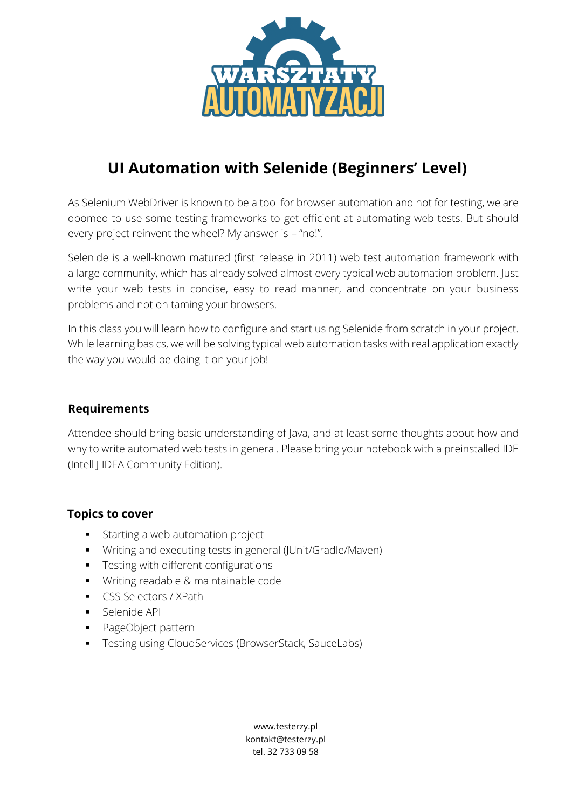

# **UI Automation with Selenide (Beginners' Level)**

As Selenium WebDriver is known to be a tool for browser automation and not for testing, we are doomed to use some testing frameworks to get efficient at automating web tests. But should every project reinvent the wheel? My answer is – "no!".

Selenide is a well-known matured (first release in 2011) web test automation framework with a large community, which has already solved almost every typical web automation problem. Just write your web tests in concise, easy to read manner, and concentrate on your business problems and not on taming your browsers.

In this class you will learn how to configure and start using Selenide from scratch in your project. While learning basics, we will be solving typical web automation tasks with real application exactly the way you would be doing it on your job!

## **Requirements**

Attendee should bring basic understanding of Java, and at least some thoughts about how and why to write automated web tests in general. Please bring your notebook with a preinstalled IDE (IntelliJ IDEA Community Edition).

#### **Topics to cover**

- Starting a web automation project
- Writing and executing tests in general (JUnit/Gradle/Maven)
- **•** Testing with different configurations
- Writing readable & maintainable code
- CSS Selectors / XPath
- **■** Selenide API
- PageObject pattern
- **•** Testing using CloudServices (BrowserStack, SauceLabs)

www.testerzy.pl kontakt@testerzy.pl tel. 32 733 09 58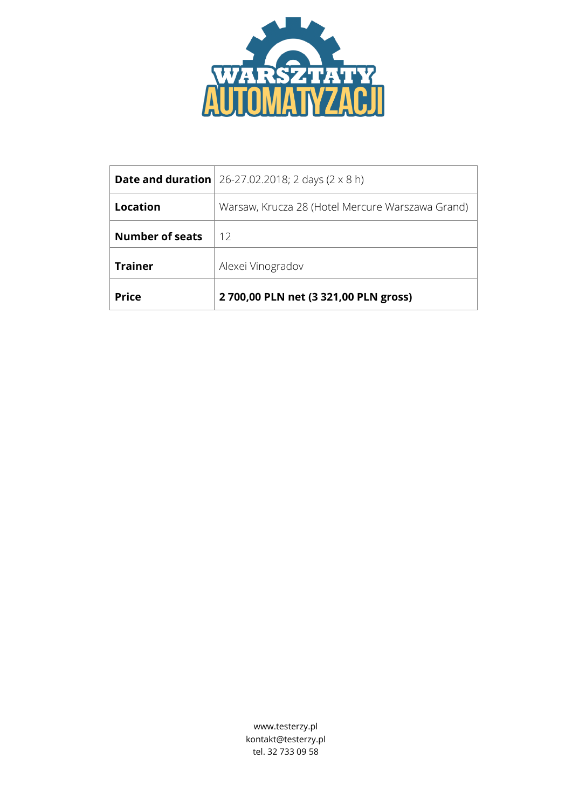

|                        | <b>Date and duration</b> $26-27.02.2018$ ; 2 days (2 x 8 h) |
|------------------------|-------------------------------------------------------------|
| Location               | Warsaw, Krucza 28 (Hotel Mercure Warszawa Grand)            |
| <b>Number of seats</b> | 12                                                          |
| <b>Trainer</b>         | Alexei Vinogradov                                           |
| <b>Price</b>           | 2700,00 PLN net (3321,00 PLN gross)                         |

www.testerzy.pl kontakt@testerzy.pl tel. 32 733 09 58